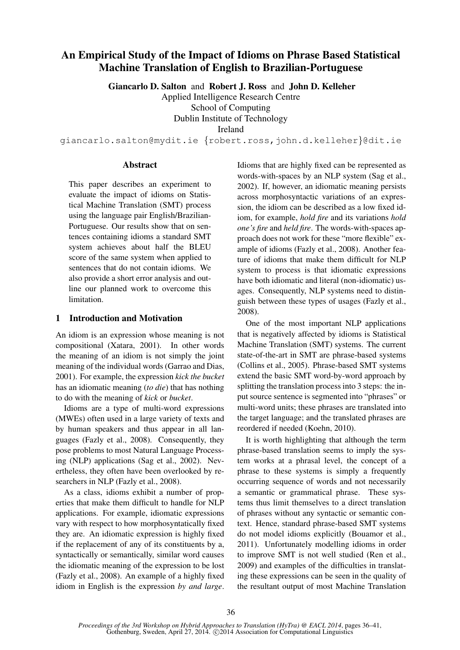# An Empirical Study of the Impact of Idioms on Phrase Based Statistical Machine Translation of English to Brazilian-Portuguese

Giancarlo D. Salton and Robert J. Ross and John D. Kelleher

Applied Intelligence Research Centre

School of Computing

Dublin Institute of Technology

Ireland

giancarlo.salton@mydit.ie {robert.ross,john.d.kelleher}@dit.ie

### Abstract

This paper describes an experiment to evaluate the impact of idioms on Statistical Machine Translation (SMT) process using the language pair English/Brazilian-Portuguese. Our results show that on sentences containing idioms a standard SMT system achieves about half the BLEU score of the same system when applied to sentences that do not contain idioms. We also provide a short error analysis and outline our planned work to overcome this limitation.

## 1 Introduction and Motivation

An idiom is an expression whose meaning is not compositional (Xatara, 2001). In other words the meaning of an idiom is not simply the joint meaning of the individual words (Garrao and Dias, 2001). For example, the expression *kick the bucket* has an idiomatic meaning (*to die*) that has nothing to do with the meaning of *kick* or *bucket*.

Idioms are a type of multi-word expressions (MWEs) often used in a large variety of texts and by human speakers and thus appear in all languages (Fazly et al., 2008). Consequently, they pose problems to most Natural Language Processing (NLP) applications (Sag et al., 2002). Nevertheless, they often have been overlooked by researchers in NLP (Fazly et al., 2008).

As a class, idioms exhibit a number of properties that make them difficult to handle for NLP applications. For example, idiomatic expressions vary with respect to how morphosyntatically fixed they are. An idiomatic expression is highly fixed if the replacement of any of its constituents by a, syntactically or semantically, similar word causes the idiomatic meaning of the expression to be lost (Fazly et al., 2008). An example of a highly fixed idiom in English is the expression *by and large*. Idioms that are highly fixed can be represented as words-with-spaces by an NLP system (Sag et al., 2002). If, however, an idiomatic meaning persists across morphosyntactic variations of an expression, the idiom can be described as a low fixed idiom, for example, *hold fire* and its variations *hold one's fire* and *held fire*. The words-with-spaces approach does not work for these "more flexible" example of idioms (Fazly et al., 2008). Another feature of idioms that make them difficult for NLP system to process is that idiomatic expressions have both idiomatic and literal (non-idiomatic) usages. Consequently, NLP systems need to distinguish between these types of usages (Fazly et al., 2008).

One of the most important NLP applications that is negatively affected by idioms is Statistical Machine Translation (SMT) systems. The current state-of-the-art in SMT are phrase-based systems (Collins et al., 2005). Phrase-based SMT systems extend the basic SMT word-by-word approach by splitting the translation process into 3 steps: the input source sentence is segmented into "phrases" or multi-word units; these phrases are translated into the target language; and the translated phrases are reordered if needed (Koehn, 2010).

It is worth highlighting that although the term phrase-based translation seems to imply the system works at a phrasal level, the concept of a phrase to these systems is simply a frequently occurring sequence of words and not necessarily a semantic or grammatical phrase. These systems thus limit themselves to a direct translation of phrases without any syntactic or semantic context. Hence, standard phrase-based SMT systems do not model idioms explicitly (Bouamor et al., 2011). Unfortunately modelling idioms in order to improve SMT is not well studied (Ren et al., 2009) and examples of the difficulties in translating these expressions can be seen in the quality of the resultant output of most Machine Translation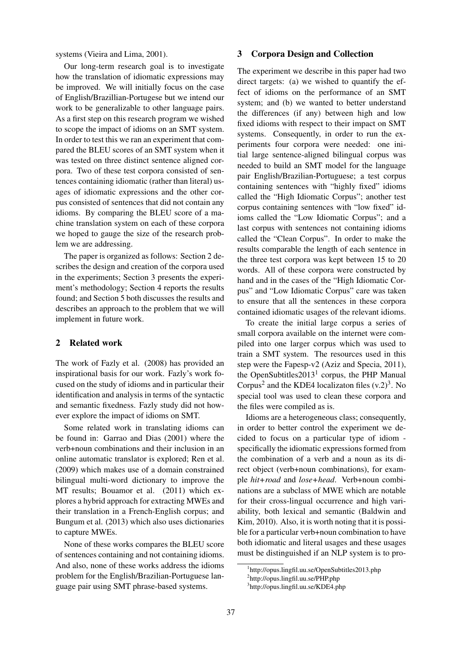systems (Vieira and Lima, 2001).

Our long-term research goal is to investigate how the translation of idiomatic expressions may be improved. We will initially focus on the case of English/Brazillian-Portugese but we intend our work to be generalizable to other language pairs. As a first step on this research program we wished to scope the impact of idioms on an SMT system. In order to test this we ran an experiment that compared the BLEU scores of an SMT system when it was tested on three distinct sentence aligned corpora. Two of these test corpora consisted of sentences containing idiomatic (rather than literal) usages of idiomatic expressions and the other corpus consisted of sentences that did not contain any idioms. By comparing the BLEU score of a machine translation system on each of these corpora we hoped to gauge the size of the research problem we are addressing.

The paper is organized as follows: Section 2 describes the design and creation of the corpora used in the experiments; Section 3 presents the experiment's methodology; Section 4 reports the results found; and Section 5 both discusses the results and describes an approach to the problem that we will implement in future work.

## 2 Related work

The work of Fazly et al. (2008) has provided an inspirational basis for our work. Fazly's work focused on the study of idioms and in particular their identification and analysis in terms of the syntactic and semantic fixedness. Fazly study did not however explore the impact of idioms on SMT.

Some related work in translating idioms can be found in: Garrao and Dias (2001) where the verb+noun combinations and their inclusion in an online automatic translator is explored; Ren et al. (2009) which makes use of a domain constrained bilingual multi-word dictionary to improve the MT results; Bouamor et al. (2011) which explores a hybrid approach for extracting MWEs and their translation in a French-English corpus; and Bungum et al. (2013) which also uses dictionaries to capture MWEs.

None of these works compares the BLEU score of sentences containing and not containing idioms. And also, none of these works address the idioms problem for the English/Brazilian-Portuguese language pair using SMT phrase-based systems.

#### 3 Corpora Design and Collection

The experiment we describe in this paper had two direct targets: (a) we wished to quantify the effect of idioms on the performance of an SMT system; and (b) we wanted to better understand the differences (if any) between high and low fixed idioms with respect to their impact on SMT systems. Consequently, in order to run the experiments four corpora were needed: one initial large sentence-aligned bilingual corpus was needed to build an SMT model for the language pair English/Brazilian-Portuguese; a test corpus containing sentences with "highly fixed" idioms called the "High Idiomatic Corpus"; another test corpus containing sentences with "low fixed" idioms called the "Low Idiomatic Corpus"; and a last corpus with sentences not containing idioms called the "Clean Corpus". In order to make the results comparable the length of each sentence in the three test corpora was kept between 15 to 20 words. All of these corpora were constructed by hand and in the cases of the "High Idiomatic Corpus" and "Low Idiomatic Corpus" care was taken to ensure that all the sentences in these corpora contained idiomatic usages of the relevant idioms.

To create the initial large corpus a series of small corpora available on the internet were compiled into one larger corpus which was used to train a SMT system. The resources used in this step were the Fapesp-v2 (Aziz and Specia, 2011), the OpenSubtitles2013<sup>1</sup> corpus, the PHP Manual Corpus<sup>2</sup> and the KDE4 localizaton files  $(v.2)^3$ . No special tool was used to clean these corpora and the files were compiled as is.

Idioms are a heterogeneous class; consequently, in order to better control the experiment we decided to focus on a particular type of idiom specifically the idiomatic expressions formed from the combination of a verb and a noun as its direct object (verb+noun combinations), for example *hit+road* and *lose+head*. Verb+noun combinations are a subclass of MWE which are notable for their cross-lingual occurrence and high variability, both lexical and semantic (Baldwin and Kim, 2010). Also, it is worth noting that it is possible for a particular verb+noun combination to have both idiomatic and literal usages and these usages must be distinguished if an NLP system is to pro-

<sup>1</sup> http://opus.lingfil.uu.se/OpenSubtitles2013.php

<sup>2</sup> http://opus.lingfil.uu.se/PHP.php

<sup>3</sup> http://opus.lingfil.uu.se/KDE4.php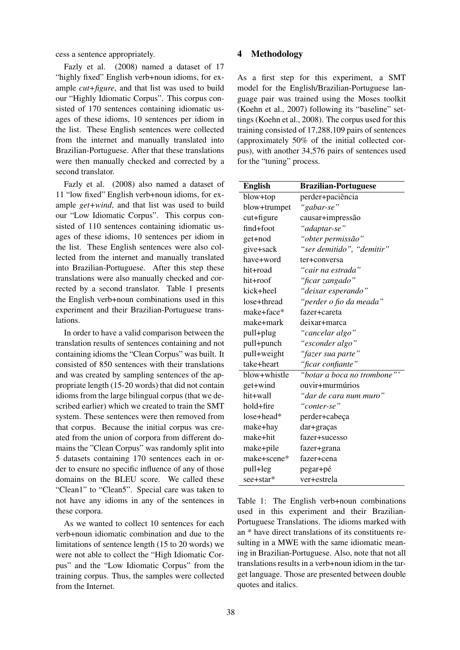cess a sentence appropriately.

Fazly et al. (2008) named a dataset of 17 "highly fixed" English verb+noun idioms, for example *cut+figure*, and that list was used to build our "Highly Idiomatic Corpus". This corpus consisted of 170 sentences containing idiomatic usages of these idioms, 10 sentences per idiom in the list. These English sentences were collected from the internet and manually translated into Brazilian-Portuguese. After that these translations were then manually checked and corrected by a second translator.

Fazly et al. (2008) also named a dataset of 11 "low fixed" English verb+noun idioms, for example *get+wind*, and that list was used to build our "Low Idiomatic Corpus". This corpus consisted of 110 sentences containing idiomatic usages of these idioms, 10 sentences per idiom in the list. These English sentences were also collected from the internet and manually translated into Brazilian-Portuguese. After this step these translations were also manually checked and corrected by a second translator. Table 1 presents the English verb+noun combinations used in this experiment and their Brazilian-Portuguese translations.

In order to have a valid comparison between the translation results of sentences containing and not containing idioms the "Clean Corpus" was built. It consisted of 850 sentences with their translations and was created by sampling sentences of the appropriate length (15-20 words) that did not contain idioms from the large bilingual corpus (that we described earlier) which we created to train the SMT system. These sentences were then removed from that corpus. Because the initial corpus was created from the union of corpora from different domains the "Clean Corpus" was randomly split into 5 datasets containing 170 sentences each in order to ensure no specific influence of any of those domains on the BLEU score. We called these "Clean1" to "Clean5". Special care was taken to not have any idioms in any of the sentences in these corpora.

As we wanted to collect 10 sentences for each verb+noun idiomatic combination and due to the limitations of sentence length (15 to 20 words) we were not able to collect the "High Idiomatic Corpus" and the "Low Idiomatic Corpus" from the training corpus. Thus, the samples were collected from the Internet.

#### 4 Methodology

As a first step for this experiment, a SMT model for the English/Brazilian-Portuguese language pair was trained using the Moses toolkit (Koehn et al., 2007) following its "baseline" settings (Koehn et al., 2008). The corpus used for this training consisted of 17,288,109 pairs of sentences (approximately 50% of the initial collected corpus), with another 34,576 pairs of sentences used for the "tuning" process.

| <b>English</b> | <b>Brazilian-Portuguese</b> |
|----------------|-----------------------------|
| blow+top       | perder+paciência            |
| blow+trumpet   | "gabar-se"                  |
| $cut+figure$   | causar+impressão            |
| find+foot      | "adaptar-se"                |
| get+nod        | "obter permissão"           |
| give+sack      | "ser demitido", "demitir"   |
| have+word      | ter+conversa                |
| hit+road       | "cair na estrada"           |
| hit+roof       | "ficar zangado"             |
| kick+heel      | "deixar esperando"          |
| lose+thread    | "perder o fio da meada"     |
| make+face*     | fazer+careta                |
| make+mark      | deixar+marca                |
| pull+plug      | "cancelar algo"             |
| pull+punch     | "esconder algo"             |
| pull+weight    | "fazer sua parte"           |
| take+heart     | "ficar confiante"           |
| blow+whistle   | "botar a boca no trombone"' |
| get+wind       | ouvir+murmúrios             |
| hit+wall       | "dar de cara num muro"      |
| hold+fire      | "conter-se"                 |
| $lose + head*$ | perder+cabeça               |
| make+hay       | dar+graças                  |
| make+hit       | fazer+sucesso               |
| make+pile      | fazer+grana                 |
| make+scene*    | fazer+cena                  |
| pull+leg       | pegar+pé                    |
| see+star*      | ver+estrela                 |

Table 1: The English verb+noun combinations used in this experiment and their Brazilian-Portuguese Translations. The idioms marked with an \* have direct translations of its constituents resulting in a MWE with the same idiomatic meaning in Brazilian-Portuguese. Also, note that not all translations results in a verb+noun idiom in the target language. Those are presented between double quotes and italics.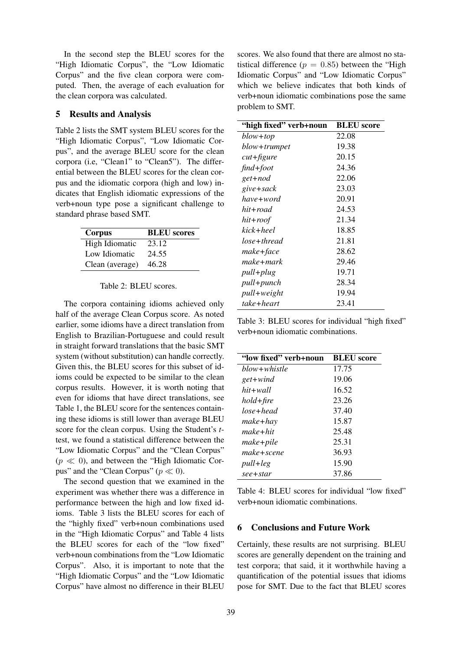In the second step the BLEU scores for the "High Idiomatic Corpus", the "Low Idiomatic Corpus" and the five clean corpora were computed. Then, the average of each evaluation for the clean corpora was calculated.

#### 5 Results and Analysis

Table 2 lists the SMT system BLEU scores for the "High Idiomatic Corpus", "Low Idiomatic Corpus", and the average BLEU score for the clean corpora (i.e, "Clean1" to "Clean5"). The differential between the BLEU scores for the clean corpus and the idiomatic corpora (high and low) indicates that English idiomatic expressions of the verb+noun type pose a significant challenge to standard phrase based SMT.

| Corpus          | <b>BLEU</b> scores |
|-----------------|--------------------|
| High Idiomatic  | 23.12              |
| Low Idiomatic   | 24.55              |
| Clean (average) | 46.28              |

#### Table 2: BLEU scores.

The corpora containing idioms achieved only half of the average Clean Corpus score. As noted earlier, some idioms have a direct translation from English to Brazilian-Portuguese and could result in straight forward translations that the basic SMT system (without substitution) can handle correctly. Given this, the BLEU scores for this subset of idioms could be expected to be similar to the clean corpus results. However, it is worth noting that even for idioms that have direct translations, see Table 1, the BLEU score for the sentences containing these idioms is still lower than average BLEU score for the clean corpus. Using the Student's *t*test, we found a statistical difference between the "Low Idiomatic Corpus" and the "Clean Corpus"  $(p \ll 0)$ , and between the "High Idiomatic Corpus" and the "Clean Corpus" ( $p \ll 0$ ).

The second question that we examined in the experiment was whether there was a difference in performance between the high and low fixed idioms. Table 3 lists the BLEU scores for each of the "highly fixed" verb+noun combinations used in the "High Idiomatic Corpus" and Table 4 lists the BLEU scores for each of the "low fixed" verb+noun combinations from the "Low Idiomatic Corpus". Also, it is important to note that the "High Idiomatic Corpus" and the "Low Idiomatic Corpus" have almost no difference in their BLEU

scores. We also found that there are almost no statistical difference ( $p = 0.85$ ) between the "High Idiomatic Corpus" and "Low Idiomatic Corpus" which we believe indicates that both kinds of verb+noun idiomatic combinations pose the same problem to SMT.

| "high fixed" verb+noun | <b>BLEU</b> score |
|------------------------|-------------------|
| blow+top               | 22.08             |
| blow+trumpet           | 19.38             |
| $cut+figure$           | 20.15             |
| $find+foot$            | 24.36             |
| get+nod                | 22.06             |
| give+sack              | 23.03             |
| have+word              | 20.91             |
| hit+road               | 24.53             |
| $hit+root$             | 21.34             |
| kick+heel              | 18.85             |
| lose+thread            | 21.81             |
| make+face              | 28.62             |
| make+mark              | 29.46             |
| pull+plug              | 19.71             |
| pull+punch             | 28.34             |
| pull+weight            | 19.94             |
| take+heart             | 23.41             |

Table 3: BLEU scores for individual "high fixed" verb+noun idiomatic combinations.

| "low fixed" verb+noun | <b>BLEU</b> score |
|-----------------------|-------------------|
| blow+whistle          | 17.75             |
| get+wind              | 19.06             |
| hit+wall              | 16.52             |
| hold+fire             | 23.26             |
| lose+head             | 37.40             |
| make+hay              | 15.87             |
| make+hit              | 25.48             |
| make+pile             | 25.31             |
| make+scene            | 36.93             |
| pull+leg              | 15.90             |
| see+star              | 37.86             |

Table 4: BLEU scores for individual "low fixed" verb+noun idiomatic combinations.

# 6 Conclusions and Future Work

Certainly, these results are not surprising. BLEU scores are generally dependent on the training and test corpora; that said, it it worthwhile having a quantification of the potential issues that idioms pose for SMT. Due to the fact that BLEU scores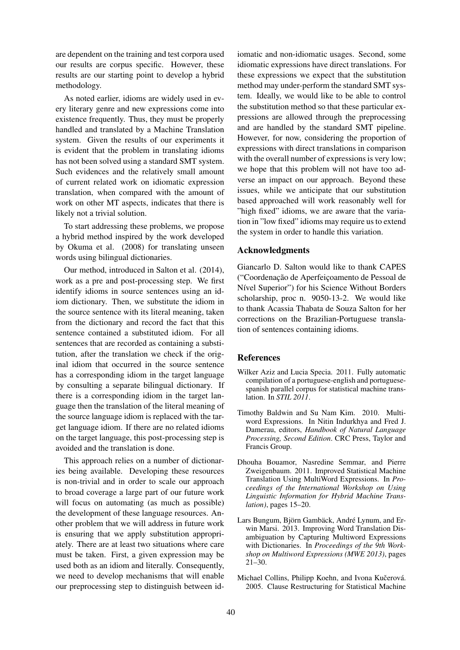are dependent on the training and test corpora used our results are corpus specific. However, these results are our starting point to develop a hybrid methodology.

As noted earlier, idioms are widely used in every literary genre and new expressions come into existence frequently. Thus, they must be properly handled and translated by a Machine Translation system. Given the results of our experiments it is evident that the problem in translating idioms has not been solved using a standard SMT system. Such evidences and the relatively small amount of current related work on idiomatic expression translation, when compared with the amount of work on other MT aspects, indicates that there is likely not a trivial solution.

To start addressing these problems, we propose a hybrid method inspired by the work developed by Okuma et al. (2008) for translating unseen words using bilingual dictionaries.

Our method, introduced in Salton et al. (2014), work as a pre and post-processing step. We first identify idioms in source sentences using an idiom dictionary. Then, we substitute the idiom in the source sentence with its literal meaning, taken from the dictionary and record the fact that this sentence contained a substituted idiom. For all sentences that are recorded as containing a substitution, after the translation we check if the original idiom that occurred in the source sentence has a corresponding idiom in the target language by consulting a separate bilingual dictionary. If there is a corresponding idiom in the target language then the translation of the literal meaning of the source language idiom is replaced with the target language idiom. If there are no related idioms on the target language, this post-processing step is avoided and the translation is done.

This approach relies on a number of dictionaries being available. Developing these resources is non-trivial and in order to scale our approach to broad coverage a large part of our future work will focus on automating (as much as possible) the development of these language resources. Another problem that we will address in future work is ensuring that we apply substitution appropriately. There are at least two situations where care must be taken. First, a given expression may be used both as an idiom and literally. Consequently, we need to develop mechanisms that will enable our preprocessing step to distinguish between id-

iomatic and non-idiomatic usages. Second, some idiomatic expressions have direct translations. For these expressions we expect that the substitution method may under-perform the standard SMT system. Ideally, we would like to be able to control the substitution method so that these particular expressions are allowed through the preprocessing and are handled by the standard SMT pipeline. However, for now, considering the proportion of expressions with direct translations in comparison with the overall number of expressions is very low; we hope that this problem will not have too adverse an impact on our approach. Beyond these issues, while we anticipate that our substitution based approached will work reasonably well for "high fixed" idioms, we are aware that the variation in "low fixed" idioms may require us to extend the system in order to handle this variation.

## Acknowledgments

Giancarlo D. Salton would like to thank CAPES ("Coordenação de Aperfeicoamento de Pessoal de Nível Superior") for his Science Without Borders scholarship, proc n. 9050-13-2. We would like to thank Acassia Thabata de Souza Salton for her corrections on the Brazilian-Portuguese translation of sentences containing idioms.

## **References**

- Wilker Aziz and Lucia Specia. 2011. Fully automatic compilation of a portuguese-english and portuguesespanish parallel corpus for statistical machine translation. In *STIL 2011*.
- Timothy Baldwin and Su Nam Kim. 2010. Multiword Expressions. In Nitin Indurkhya and Fred J. Damerau, editors, *Handbook of Natural Language Processing, Second Edition*. CRC Press, Taylor and Francis Group.
- Dhouha Bouamor, Nasredine Semmar, and Pierre Zweigenbaum. 2011. Improved Statistical Machine Translation Using MultiWord Expressions. In *Proceedings of the International Workshop on Using Linguistic Information for Hybrid Machine Translation)*, pages 15–20.
- Lars Bungum, Björn Gambäck, André Lynum, and Erwin Marsi. 2013. Improving Word Translation Disambiguation by Capturing Multiword Expressions with Dictionaries. In *Proceedings of the 9th Workshop on Multiword Expressions (MWE 2013)*, pages 21–30.
- Michael Collins, Philipp Koehn, and Ivona Kučerová. 2005. Clause Restructuring for Statistical Machine